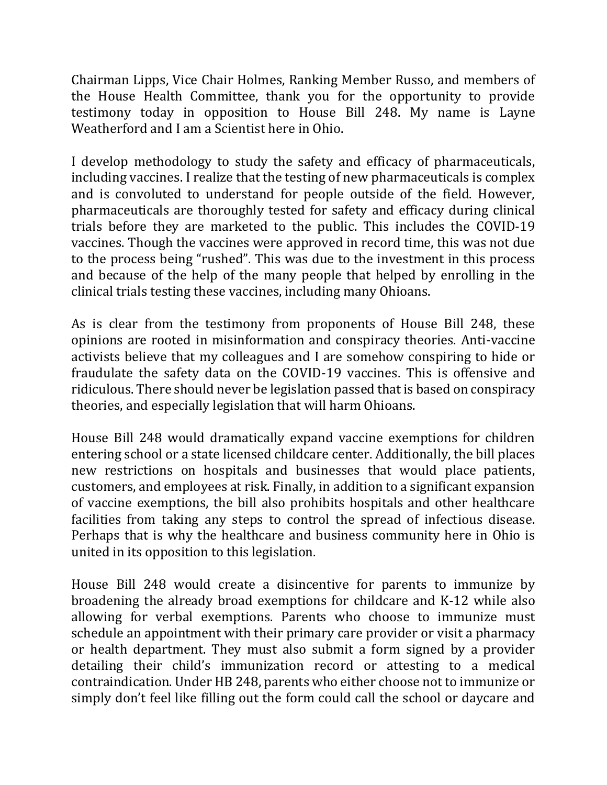Chairman Lipps, Vice Chair Holmes, Ranking Member Russo, and members of the House Health Committee, thank you for the opportunity to provide testimony today in opposition to House Bill 248. My name is Layne Weatherford and I am a Scientist here in Ohio.

I develop methodology to study the safety and efficacy of pharmaceuticals, including vaccines. I realize that the testing of new pharmaceuticals is complex and is convoluted to understand for people outside of the field. However, pharmaceuticals are thoroughly tested for safety and efficacy during clinical trials before they are marketed to the public. This includes the COVID-19 vaccines. Though the vaccines were approved in record time, this was not due to the process being "rushed". This was due to the investment in this process and because of the help of the many people that helped by enrolling in the clinical trials testing these vaccines, including many Ohioans.

As is clear from the testimony from proponents of House Bill 248, these opinions are rooted in misinformation and conspiracy theories. Anti-vaccine activists believe that my colleagues and I are somehow conspiring to hide or fraudulate the safety data on the COVID-19 vaccines. This is offensive and ridiculous. There should never be legislation passed that is based on conspiracy theories, and especially legislation that will harm Ohioans.

House Bill 248 would dramatically expand vaccine exemptions for children entering school or a state licensed childcare center. Additionally, the bill places new restrictions on hospitals and businesses that would place patients, customers, and employees at risk. Finally, in addition to a significant expansion of vaccine exemptions, the bill also prohibits hospitals and other healthcare facilities from taking any steps to control the spread of infectious disease. Perhaps that is why the healthcare and business community here in Ohio is united in its opposition to this legislation.

House Bill 248 would create a disincentive for parents to immunize by broadening the already broad exemptions for childcare and K-12 while also allowing for verbal exemptions. Parents who choose to immunize must schedule an appointment with their primary care provider or visit a pharmacy or health department. They must also submit a form signed by a provider detailing their child's immunization record or attesting to a medical contraindication. Under HB 248, parents who either choose not to immunize or simply don't feel like filling out the form could call the school or daycare and